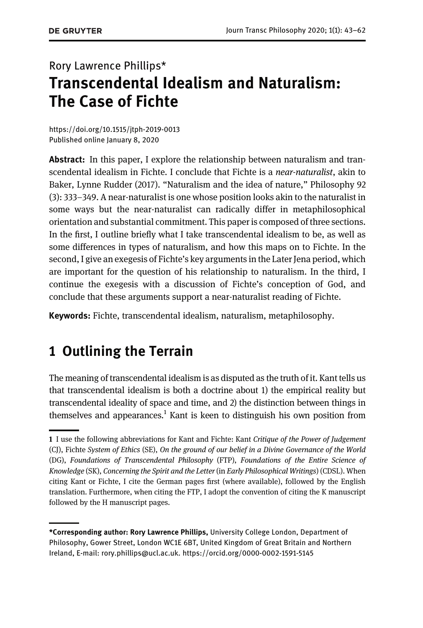# Rory Lawrence Phillips\* Transcendental Idealism and Naturalism: The Case of Fichte

https://doi.org/10.1515/jtph-2019-0013 Published online January 8, 2020

Abstract: In this paper, I explore the relationship between naturalism and transcendental idealism in Fichte. I conclude that Fichte is a *near-naturalist*, akin to Baker, Lynne Rudder [\(2017\).](#page-18-0) "Naturalism and the idea of nature," Philosophy 92 (3): 333–349. A near-naturalist is one whose position looks akin to the naturalist in some ways but the near-naturalist can radically differ in metaphilosophical orientation and substantial commitment. This paper is composed of three sections. In the first, I outline briefly what I take transcendental idealism to be, as well as some differences in types of naturalism, and how this maps on to Fichte. In the second, I give an exegesis of Fichte's key arguments in the Later Jena period, which are important for the question of his relationship to naturalism. In the third, I continue the exegesis with a discussion of Fichte's conception of God, and conclude that these arguments support a near-naturalist reading of Fichte.

Keywords: Fichte, transcendental idealism, naturalism, metaphilosophy.

# 1 Outlining the Terrain

The meaning of transcendental idealism is as disputed as the truth of it. Kant tells us that transcendental idealism is both a doctrine about 1) the empirical reality but transcendental ideality of space and time, and 2) the distinction between things in themselves and appearances.<sup>1</sup> Kant is keen to distinguish his own position from

<sup>1</sup> I use the following abbreviations for Kant and Fichte: Kant Critique of the Power of Judgement (CJ), Fichte System of Ethics (SE), On the ground of our belief in a Divine Governance of the World (DG), Foundations of Transcendental Philosophy (FTP), Foundations of the Entire Science of Knowledge (SK), Concerning the Spirit and the Letter (in Early Philosophical Writings) (CDSL). When citing Kant or Fichte, I cite the German pages first (where available), followed by the English translation. Furthermore, when citing the FTP, I adopt the convention of citing the K manuscript followed by the H manuscript pages.

<sup>\*</sup>Corresponding author: Rory Lawrence Phillips, University College London, Department of Philosophy, Gower Street, London WC1E 6BT, United Kingdom of Great Britain and Northern Ireland, E-mail: rory.phillips@ucl.ac.uk. https://orcid.org/0000-0002-1591-5145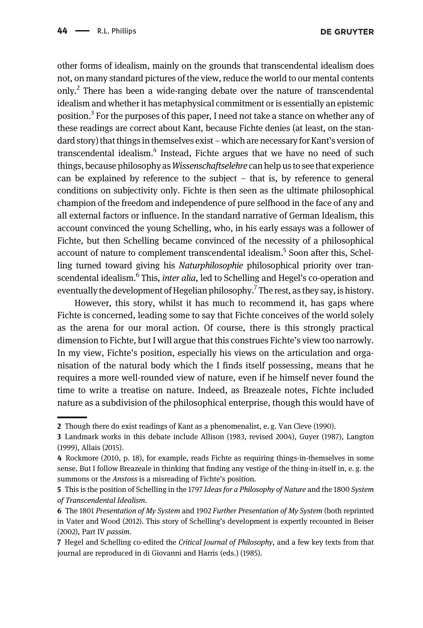other forms of idealism, mainly on the grounds that transcendental idealism does not, on many standard pictures of the view, reduce the world to our mental contents only.<sup>2</sup> There has been a wide-ranging debate over the nature of transcendental idealism and whether it has metaphysical commitment or is essentially an epistemic position.<sup>3</sup> For the purposes of this paper, I need not take a stance on whether any of these readings are correct about Kant, because Fichte denies (at least, on the standard story) that things in themselves exist – which are necessary for Kant's version of transcendental idealism.<sup>4</sup> Instead, Fichte argues that we have no need of such things, because philosophy as Wissenschaftselehre can help us to see that experience can be explained by reference to the subject – that is, by reference to general conditions on subjectivity only. Fichte is then seen as the ultimate philosophical champion of the freedom and independence of pure selfhood in the face of any and all external factors or influence. In the standard narrative of German Idealism, this account convinced the young Schelling, who, in his early essays was a follower of Fichte, but then Schelling became convinced of the necessity of a philosophical account of nature to complement transcendental idealism.<sup>5</sup> Soon after this, Schelling turned toward giving his Naturphilosophie philosophical priority over transcendental idealism.<sup>6</sup> This, *inter alia*, led to Schelling and Hegel's co-operation and eventually the development of Hegelian philosophy.<sup>7</sup> The rest, as they say, is history.

However, this story, whilst it has much to recommend it, has gaps where Fichte is concerned, leading some to say that Fichte conceives of the world solely as the arena for our moral action. Of course, there is this strongly practical dimension to Fichte, but I will argue that this construes Fichte's view too narrowly. In my view, Fichte's position, especially his views on the articulation and organisation of the natural body which the I finds itself possessing, means that he requires a more well-rounded view of nature, even if he himself never found the time to write a treatise on nature. Indeed, as Breazeale notes, Fichte included nature as a subdivision of the philosophical enterprise, though this would have of

<sup>2</sup> Though there do exist readings of Kant as a phenomenalist, e. g. [Van Cleve \(1990\).](#page-19-0)

<sup>3</sup> Landmark works in this debate include Allison (1983, revised [2004](#page-17-0)), [Guyer \(1987\),](#page-19-1) [Langton](#page-19-2) [\(1999\)](#page-19-2), [Allais \(2015\)](#page-17-1).

<sup>4</sup> [Rockmore \(2010](#page-19-3), p. 18), for example, reads Fichte as requiring things-in-themselves in some sense. But I follow Breazeale in thinking that finding any vestige of the thing-in-itself in, e.g. the summons or the Anstoss is a misreading of Fichte's position.

<sup>5</sup> This is the position of Schelling in the 1797 Ideas for a Philosophy of Nature and the 1800 System of Transcendental Idealism.

<sup>6</sup> The 1801 Presentation of My System and 1902 Further Presentation of My System (both reprinted in [Vater and Wood \(2012\)](#page-19-4). This story of Schelling's development is expertly recounted in [Beiser](#page-18-1) [\(2002\),](#page-18-1) Part IV passim.

<sup>7</sup> Hegel and Schelling co-edited the Critical Journal of Philosophy, and a few key texts from that journal are reproduced in di Giovanni and Harris (eds.) [\(1985\)](#page-18-2).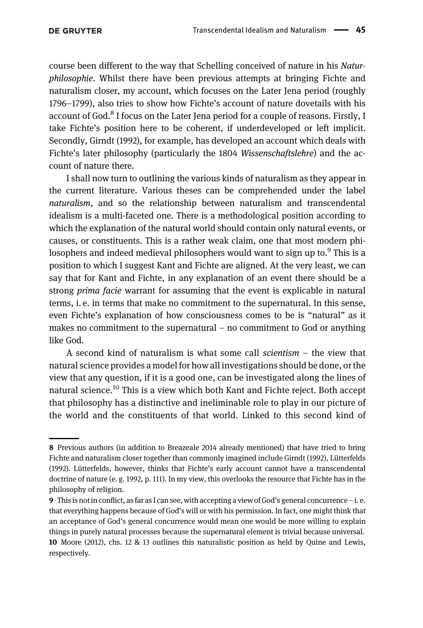course been different to the way that Schelling conceived of nature in his Naturphilosophie. Whilst there have been previous attempts at bringing Fichte and naturalism closer, my account, which focuses on the Later Jena period (roughly 1796–[1799\)](#page-18-3), also tries to show how Fichte's account of nature dovetails with his account of God.<sup>8</sup> I focus on the Later Jena period for a couple of reasons. Firstly, I take Fichte's position here to be coherent, if underdeveloped or left implicit. Secondly, [Girndt \(1992\)](#page-19-5), for example, has developed an account which deals with Fichte's later philosophy (particularly the 1804 Wissenschaftslehre) and the account of nature there.

I shall now turn to outlining the various kinds of naturalism as they appear in the current literature. Various theses can be comprehended under the label naturalism, and so the relationship between naturalism and transcendental idealism is a multi-faceted one. There is a methodological position according to which the explanation of the natural world should contain only natural events, or causes, or constituents. This is a rather weak claim, one that most modern philosophers and indeed medieval philosophers would want to sign up to.<sup>9</sup> This is a position to which I suggest Kant and Fichte are aligned. At the very least, we can say that for Kant and Fichte, in any explanation of an event there should be a strong prima facie warrant for assuming that the event is explicable in natural terms, i. e. in terms that make no commitment to the supernatural. In this sense, even Fichte's explanation of how consciousness comes to be is "natural" as it makes no commitment to the supernatural – no commitment to God or anything like God.

A second kind of naturalism is what some call scientism  $-$  the view that natural science provides a model for how all investigations should be done, or the view that any question, if it is a good one, can be investigated along the lines of natural science.<sup>10</sup> This is a view which both Kant and Fichte reject. Both accept that philosophy has a distinctive and ineliminable role to play in our picture of the world and the constituents of that world. Linked to this second kind of

<sup>8</sup> Previous authors (in addition to [Breazeale 2014](#page-18-4) already mentioned) that have tried to bring Fichte and naturalism closer together than commonly imagined include [Girndt \(1992\),](#page-19-5) [Lütterfelds](#page-19-6) [\(1992\)](#page-19-6). Lütterfelds, however, thinks that Fichte's early account cannot have a transcendental doctrine of nature (e. g. [1992](#page-19-6), p. 111). In my view, this overlooks the resource that Fichte has in the philosophy of religion.

<sup>9</sup> This is not in conflict, as far as I can see, with accepting a view of God's general concurrence – i. e. that everything happens because of God's will or with his permission. In fact, one might think that an acceptance of God's general concurrence would mean one would be more willing to explain things in purely natural processes because the supernatural element is trivial because universal. 10 [Moore \(2012\),](#page-19-7) chs. 12 & 13 outlines this naturalistic position as held by Quine and Lewis, respectively.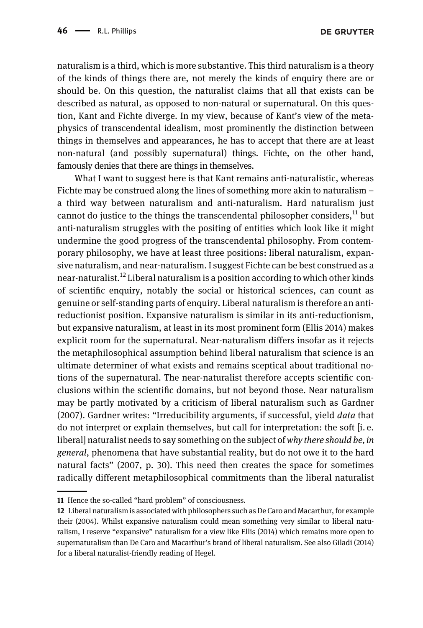naturalism is a third, which is more substantive. This third naturalism is a theory of the kinds of things there are, not merely the kinds of enquiry there are or should be. On this question, the naturalist claims that all that exists can be described as natural, as opposed to non-natural or supernatural. On this question, Kant and Fichte diverge. In my view, because of Kant's view of the metaphysics of transcendental idealism, most prominently the distinction between things in themselves and appearances, he has to accept that there are at least non-natural (and possibly supernatural) things. Fichte, on the other hand, famously denies that there are things in themselves.

What I want to suggest here is that Kant remains anti-naturalistic, whereas Fichte may be construed along the lines of something more akin to naturalism – a third way between naturalism and anti-naturalism. Hard naturalism just cannot do justice to the things the transcendental philosopher considers, $^{11}$  but anti-naturalism struggles with the positing of entities which look like it might undermine the good progress of the transcendental philosophy. From contemporary philosophy, we have at least three positions: liberal naturalism, expansive naturalism, and near-naturalism. I suggest Fichte can be best construed as a near-naturalist.<sup>12</sup> Liberal naturalism is a position according to which other kinds of scientific enquiry, notably the social or historical sciences, can count as genuine or self-standing parts of enquiry. Liberal naturalism is therefore an antireductionist position. Expansive naturalism is similar in its anti-reductionism, but expansive naturalism, at least in its most prominent form [\(Ellis 2014](#page-18-5)) makes explicit room for the supernatural. Near-naturalism differs insofar as it rejects the metaphilosophical assumption behind liberal naturalism that science is an ultimate determiner of what exists and remains sceptical about traditional notions of the supernatural. The near-naturalist therefore accepts scientific conclusions within the scientific domains, but not beyond those. Near naturalism may be partly motivated by a criticism of liberal naturalism such as [Gardner](#page-18-6) [\(2007\).](#page-18-6) Gardner writes: "Irreducibility arguments, if successful, yield data that do not interpret or explain themselves, but call for interpretation: the soft [i. e. liberal] naturalist needs to say something on the subject of why there should be, in general, phenomena that have substantial reality, but do not owe it to the hard natural facts" ([2007,](#page-18-6) p. 30). This need then creates the space for sometimes radically different metaphilosophical commitments than the liberal naturalist

<sup>11</sup> Hence the so-called "hard problem" of consciousness.

<sup>12</sup> Liberal naturalism is associated with philosophers such as De Caro and Macarthur, for example their [\(2004\)](#page-18-7). Whilst expansive naturalism could mean something very similar to liberal naturalism, I reserve "expansive" naturalism for a view like [Ellis \(2014\)](#page-18-5) which remains more open to supernaturalism than De Caro and Macarthur's brand of liberal naturalism. See also [Giladi \(2014\)](#page-19-8) for a liberal naturalist-friendly reading of Hegel.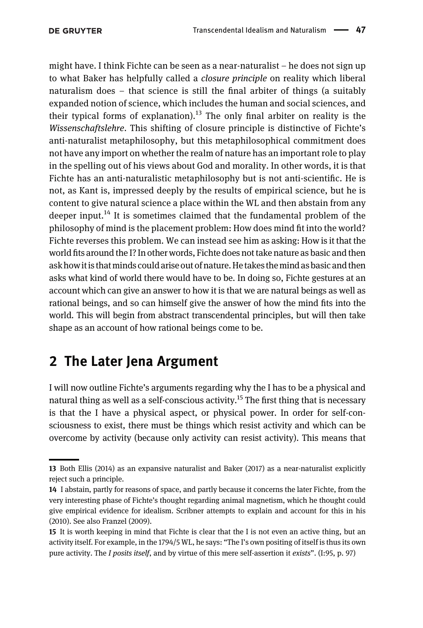might have. I think Fichte can be seen as a near-naturalist – he does not sign up to what Baker has helpfully called a *closure principle* on reality which liberal naturalism does – that science is still the final arbiter of things (a suitably expanded notion of science, which includes the human and social sciences, and their typical forms of explanation).<sup>13</sup> The only final arbiter on reality is the Wissenschaftslehre. This shifting of closure principle is distinctive of Fichte's anti-naturalist metaphilosophy, but this metaphilosophical commitment does not have any import on whether the realm of nature has an important role to play in the spelling out of his views about God and morality. In other words, it is that Fichte has an anti-naturalistic metaphilosophy but is not anti-scientific. He is not, as Kant is, impressed deeply by the results of empirical science, but he is content to give natural science a place within the WL and then abstain from any deeper input.<sup>14</sup> It is sometimes claimed that the fundamental problem of the philosophy of mind is the placement problem: How does mind fit into the world? Fichte reverses this problem. We can instead see him as asking: How is it that the world fits around the I? In other words, Fichte does not take nature as basic and then ask how it is that minds could arise out of nature. He takes the mind as basic and then asks what kind of world there would have to be. In doing so, Fichte gestures at an account which can give an answer to how it is that we are natural beings as well as rational beings, and so can himself give the answer of how the mind fits into the world. This will begin from abstract transcendental principles, but will then take shape as an account of how rational beings come to be.

#### 2 The Later Jena Argument

I will now outline Fichte's arguments regarding why the I has to be a physical and natural thing as well as a self-conscious activity.<sup>15</sup> The first thing that is necessary is that the I have a physical aspect, or physical power. In order for self-consciousness to exist, there must be things which resist activity and which can be overcome by activity (because only activity can resist activity). This means that

<sup>13</sup> Both [Ellis \(2014\)](#page-18-5) as an expansive naturalist and [Baker \(2017\)](#page-18-0) as a near-naturalist explicitly reject such a principle.

<sup>14</sup> I abstain, partly for reasons of space, and partly because it concerns the later Fichte, from the very interesting phase of Fichte's thought regarding animal magnetism, which he thought could give empirical evidence for idealism. Scribner attempts to explain and account for this in his ([2010](#page-19-9)). See also [Franzel \(2009\).](#page-18-8)

<sup>15</sup> It is worth keeping in mind that Fichte is clear that the I is not even an active thing, but an activity itself. For example, in the [1794](#page-18-9)/5 WL, he says: "The I's own positing of itself is thus its own pure activity. The I posits itself, and by virtue of this mere self-assertion it exists". (I:95, p. 97)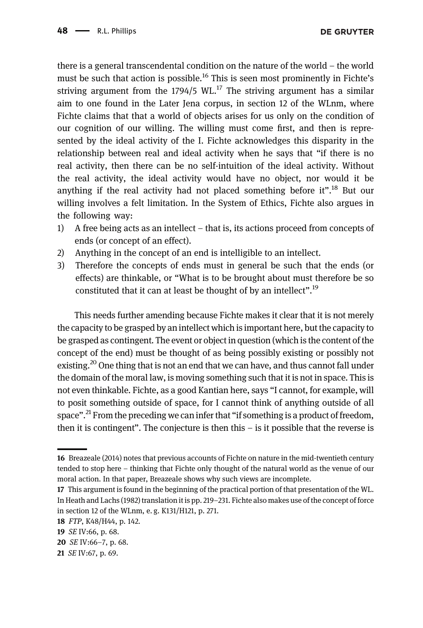there is a general transcendental condition on the nature of the world – the world must be such that action is possible.<sup>16</sup> This is seen most prominently in Fichte's striving argument from the  $1794/5$  WL.<sup>17</sup> The striving argument has a similar aim to one found in the Later Jena corpus, in section 12 of the WLnm, where Fichte claims that that a world of objects arises for us only on the condition of our cognition of our willing. The willing must come first, and then is represented by the ideal activity of the I. Fichte acknowledges this disparity in the relationship between real and ideal activity when he says that "if there is no real activity, then there can be no self-intuition of the ideal activity. Without the real activity, the ideal activity would have no object, nor would it be anything if the real activity had not placed something before it".<sup>18</sup> But our willing involves a felt limitation. In the System of Ethics, Fichte also argues in the following way:

- 1) A free being acts as an intellect that is, its actions proceed from concepts of ends (or concept of an effect).
- 2) Anything in the concept of an end is intelligible to an intellect.
- 3) Therefore the concepts of ends must in general be such that the ends (or effects) are thinkable, or "What is to be brought about must therefore be so constituted that it can at least be thought of by an intellect".<sup>19</sup>

This needs further amending because Fichte makes it clear that it is not merely the capacity to be grasped by an intellect which is important here, but the capacity to be grasped as contingent. The event or object in question (which is the content of the concept of the end) must be thought of as being possibly existing or possibly not existing.<sup>20</sup> One thing that is not an end that we can have, and thus cannot fall under the domain of the moral law, is moving something such that it is not in space. This is not even thinkable. Fichte, as a good Kantian here, says "I cannot, for example, will to posit something outside of space, for I cannot think of anything outside of all space".<sup>21</sup> From the preceding we can infer that "if something is a product of freedom, then it is contingent". The conjecture is then this  $-$  is it possible that the reverse is

<sup>16</sup> [Breazeale \(2014\)](#page-18-4) notes that previous accounts of Fichte on nature in the mid-twentieth century tended to stop here – thinking that Fichte only thought of the natural world as the venue of our moral action. In that paper, Breazeale shows why such views are incomplete.

<sup>17</sup> This argument is found in the beginning of the practical portion of that presentation of the WL. In [Heath and Lachs \(1982\)](#page-18-10) translation it is pp. 219–231. Fichte also makes use of the concept of force in section 12 of the WLnm, e. g. K131/H121, p. 271.

<sup>18</sup> FTP, K48/H44, p. 142.

<sup>19</sup> SE IV:66, p. 68.

<sup>20</sup> SE IV:66–7, p. 68.

<sup>21</sup> SE IV:67, p. 69.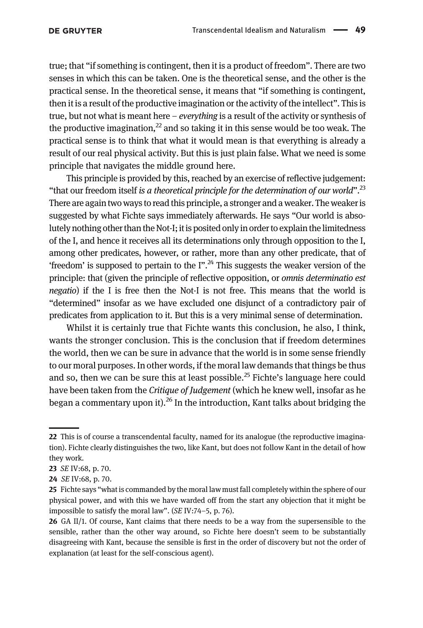true; that "if something is contingent, then it is a product of freedom". There are two senses in which this can be taken. One is the theoretical sense, and the other is the practical sense. In the theoretical sense, it means that "if something is contingent, then it is a result of the productive imagination or the activity of the intellect". This is true, but not what is meant here  $-e\vee e$  *everything* is a result of the activity or synthesis of the productive imagination, $^{22}$  and so taking it in this sense would be too weak. The practical sense is to think that what it would mean is that everything is already a result of our real physical activity. But this is just plain false. What we need is some principle that navigates the middle ground here.

This principle is provided by this, reached by an exercise of reflective judgement: "that our freedom itself is a theoretical principle for the determination of our world".<sup>23</sup> There are again two ways to read this principle, a stronger and a weaker. The weaker is suggested by what Fichte says immediately afterwards. He says "Our world is absolutely nothing other than the Not-I; it is posited only in order to explain thelimitedness of the I, and hence it receives all its determinations only through opposition to the I, among other predicates, however, or rather, more than any other predicate, that of 'freedom' is supposed to pertain to the  $I''$ .<sup>24</sup> This suggests the weaker version of the principle: that (given the principle of reflective opposition, or omnis determinatio est negatio) if the I is free then the Not-I is not free. This means that the world is "determined" insofar as we have excluded one disjunct of a contradictory pair of predicates from application to it. But this is a very minimal sense of determination.

Whilst it is certainly true that Fichte wants this conclusion, he also, I think, wants the stronger conclusion. This is the conclusion that if freedom determines the world, then we can be sure in advance that the world is in some sense friendly to our moral purposes. In other words, if the moral law demands that things be thus and so, then we can be sure this at least possible.<sup>25</sup> Fichte's language here could have been taken from the Critique of Judgement (which he knew well, insofar as he began a commentary upon it).<sup>26</sup> In the introduction, Kant talks about bridging the

<sup>22</sup> This is of course a transcendental faculty, named for its analogue (the reproductive imagination). Fichte clearly distinguishes the two, like Kant, but does not follow Kant in the detail of how they work.

<sup>23</sup> SE IV:68, p. 70.

<sup>24</sup> SE IV:68, p. 70.

<sup>25</sup> Fichte says "what is commanded by the moral law must fall completely within the sphere of our physical power, and with this we have warded off from the start any objection that it might be impossible to satisfy the moral law". (SE IV:74–5, p. 76).

<sup>26</sup> GA II/1. Of course, Kant claims that there needs to be a way from the supersensible to the sensible, rather than the other way around, so Fichte here doesn't seem to be substantially disagreeing with Kant, because the sensible is first in the order of discovery but not the order of explanation (at least for the self-conscious agent).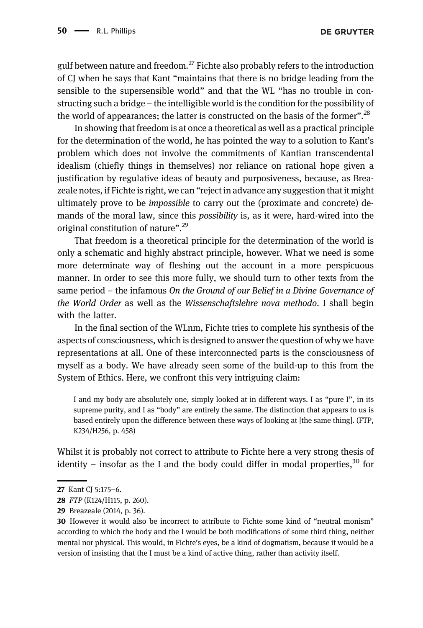gulf between nature and freedom.<sup>27</sup> Fichte also probably refers to the introduction of CJ when he says that Kant "maintains that there is no bridge leading from the sensible to the supersensible world" and that the WL "has no trouble in constructing such a bridge – the intelligible world is the condition for the possibility of the world of appearances; the latter is constructed on the basis of the former".<sup>28</sup>

In showing that freedom is at once a theoretical as well as a practical principle for the determination of the world, he has pointed the way to a solution to Kant's problem which does not involve the commitments of Kantian transcendental idealism (chiefly things in themselves) nor reliance on rational hope given a justification by regulative ideas of beauty and purposiveness, because, as Breazeale notes, if Fichte is right, we can "reject in advance any suggestion that it might ultimately prove to be impossible to carry out the (proximate and concrete) demands of the moral law, since this possibility is, as it were, hard-wired into the original constitution of nature".<sup>29</sup>

That freedom is a theoretical principle for the determination of the world is only a schematic and highly abstract principle, however. What we need is some more determinate way of fleshing out the account in a more perspicuous manner. In order to see this more fully, we should turn to other texts from the same period – the infamous On the Ground of our Belief in a Divine Governance of the World Order as well as the Wissenschaftslehre nova methodo. I shall begin with the latter.

In the final section of the WLnm, Fichte tries to complete his synthesis of the aspects of consciousness, which is designed to answer the question of why we have representations at all. One of these interconnected parts is the consciousness of myself as a body. We have already seen some of the build-up to this from the System of Ethics. Here, we confront this very intriguing claim:

I and my body are absolutely one, simply looked at in different ways. I as "pure I", in its supreme purity, and I as "body" are entirely the same. The distinction that appears to us is based entirely upon the difference between these ways of looking at [the same thing]. (FTP, K234/H256, p. 458)

Whilst it is probably not correct to attribute to Fichte here a very strong thesis of identity – insofar as the I and the body could differ in modal properties,<sup>30</sup> for

<sup>27</sup> [Kant](#page-19-10) CI 5:175-6.

<sup>28</sup> FTP (K124/H115, p. 260).

<sup>29</sup> [Breazeale \(2014](#page-18-4), p. 36).

<sup>30</sup> However it would also be incorrect to attribute to Fichte some kind of "neutral monism" according to which the body and the I would be both modifications of some third thing, neither mental nor physical. This would, in Fichte's eyes, be a kind of dogmatism, because it would be a version of insisting that the I must be a kind of active thing, rather than activity itself.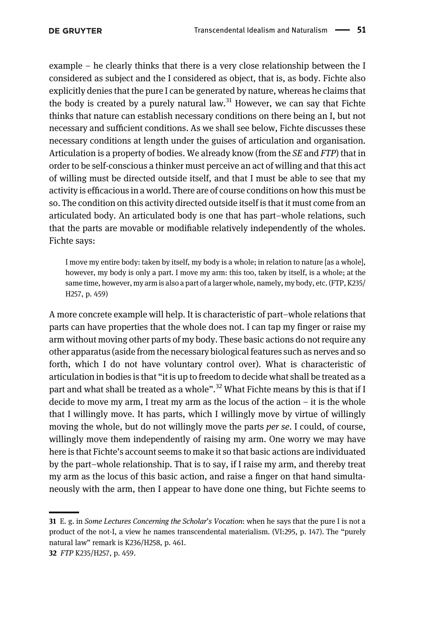example – he clearly thinks that there is a very close relationship between the I considered as subject and the I considered as object, that is, as body. Fichte also explicitly denies that the pure I can be generated by nature, whereas he claims that the body is created by a purely natural law.<sup>31</sup> However, we can say that Fichte thinks that nature can establish necessary conditions on there being an I, but not necessary and sufficient conditions. As we shall see below, Fichte discusses these necessary conditions at length under the guises of articulation and organisation. Articulation is a property of bodies. We already know (from the  $SE$  and  $FTP$ ) that in order to be self-conscious a thinker must perceive an act of willing and that this act of willing must be directed outside itself, and that I must be able to see that my activity is efficacious in a world. There are of course conditions on how this must be so. The condition on this activity directed outside itself is that it must come from an articulated body. An articulated body is one that has part–whole relations, such that the parts are movable or modifiable relatively independently of the wholes. Fichte says:

I move my entire body: taken by itself, my body is a whole; in relation to nature [as a whole], however, my body is only a part. I move my arm: this too, taken by itself, is a whole; at the same time, however, my arm is also a part of a larger whole, namely, my body, etc. (FTP, K235/ H257, p. 459)

A more concrete example will help. It is characteristic of part–whole relations that parts can have properties that the whole does not. I can tap my finger or raise my arm without moving other parts of my body. These basic actions do not require any other apparatus (aside from the necessary biological features such as nerves and so forth, which I do not have voluntary control over). What is characteristic of articulation in bodies is that "it is up to freedom to decide what shall be treated as a part and what shall be treated as a whole".<sup>32</sup> What Fichte means by this is that if I decide to move my arm, I treat my arm as the locus of the action – it is the whole that I willingly move. It has parts, which I willingly move by virtue of willingly moving the whole, but do not willingly move the parts *per se*. I could, of course, willingly move them independently of raising my arm. One worry we may have here is that Fichte's account seems to make it so that basic actions are individuated by the part–whole relationship. That is to say, if I raise my arm, and thereby treat my arm as the locus of this basic action, and raise a finger on that hand simultaneously with the arm, then I appear to have done one thing, but Fichte seems to

<sup>31</sup> E. g. in Some Lectures Concerning the Scholar's Vocation: when he says that the pure I is not a product of the not-I, a view he names transcendental materialism. (VI:295, p. 147). The "purely natural law" remark is K236/H258, p. 461.

<sup>32</sup> FTP K235/H257, p. 459.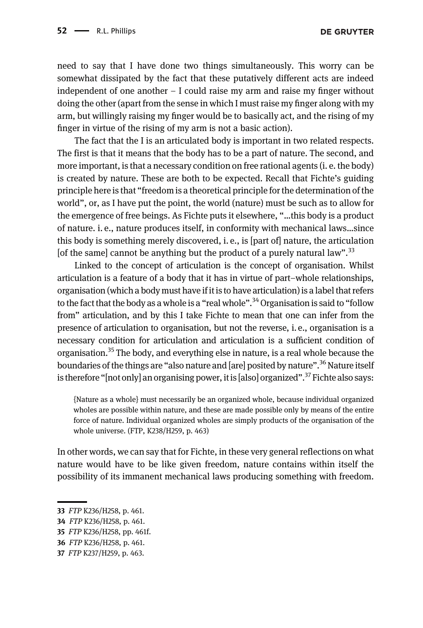need to say that I have done two things simultaneously. This worry can be somewhat dissipated by the fact that these putatively different acts are indeed independent of one another  $-1$  could raise my arm and raise my finger without doing the other (apart from the sense in which I must raise my finger along with my arm, but willingly raising my finger would be to basically act, and the rising of my finger in virtue of the rising of my arm is not a basic action).

The fact that the I is an articulated body is important in two related respects. The first is that it means that the body has to be a part of nature. The second, and more important, is that a necessary condition on free rational agents (i. e. the body) is created by nature. These are both to be expected. Recall that Fichte's guiding principle here is that "freedom is a theoretical principle for the determination of the world", or, as I have put the point, the world (nature) must be such as to allow for the emergence of free beings. As Fichte puts it elsewhere, "…this body is a product of nature. i. e., nature produces itself, in conformity with mechanical laws…since this body is something merely discovered, i. e., is [part of] nature, the articulation [of the same] cannot be anything but the product of a purely natural law".<sup>33</sup>

Linked to the concept of articulation is the concept of organisation. Whilst articulation is a feature of a body that it has in virtue of part–whole relationships, organisation (which a body must have if it is to have articulation) is a label that refers to the fact that the body as a whole is a "real whole".<sup>34</sup> Organisation is said to "follow from" articulation, and by this I take Fichte to mean that one can infer from the presence of articulation to organisation, but not the reverse, i. e., organisation is a necessary condition for articulation and articulation is a sufficient condition of organisation.35 The body, and everything else in nature, is a real whole because the boundaries of the things are "also nature and [are] posited by nature".<sup>36</sup> Nature itself is therefore "[not only] an organising power, it is [also] organized".<sup>37</sup> Fichte also says:

{Nature as a whole} must necessarily be an organized whole, because individual organized wholes are possible within nature, and these are made possible only by means of the entire force of nature. Individual organized wholes are simply products of the organisation of the whole universe. (FTP, K238/H259, p. 463)

In other words, we can say that for Fichte, in these very general reflections on what nature would have to be like given freedom, nature contains within itself the possibility of its immanent mechanical laws producing something with freedom.

<sup>33</sup> FTP K236/H258, p. 461.

<sup>34</sup> FTP K236/H258, p. 461.

<sup>35</sup> FTP K236/H258, pp. 461f.

<sup>36</sup> FTP K236/H258, p. 461.

<sup>37</sup> FTP K237/H259, p. 463.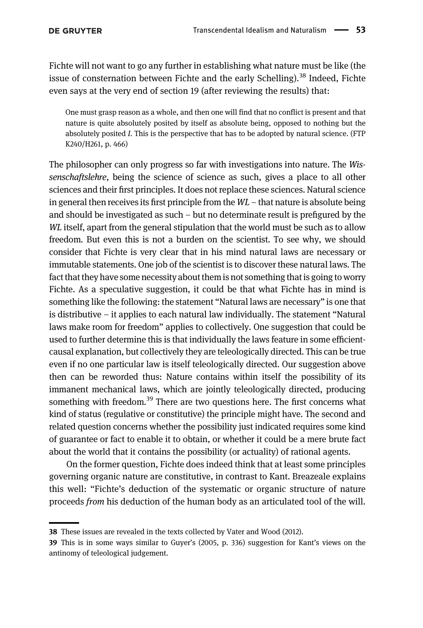Fichte will not want to go any further in establishing what nature must be like (the issue of consternation between Fichte and the early Schelling).<sup>38</sup> Indeed, Fichte even says at the very end of section 19 (after reviewing the results) that:

One must grasp reason as a whole, and then one will find that no conflict is present and that nature is quite absolutely posited by itself as absolute being, opposed to nothing but the absolutely posited I. This is the perspective that has to be adopted by natural science. (FTP K240/H261, p. 466)

The philosopher can only progress so far with investigations into nature. The Wissenschaftslehre, being the science of science as such, gives a place to all other sciences and their first principles. It does not replace these sciences. Natural science in general then receives its first principle from the  $WL$  – that nature is absolute being and should be investigated as such – but no determinate result is prefigured by the WL itself, apart from the general stipulation that the world must be such as to allow freedom. But even this is not a burden on the scientist. To see why, we should consider that Fichte is very clear that in his mind natural laws are necessary or immutable statements. One job of the scientist is to discover these natural laws. The fact that they have some necessity about them is not something that is going to worry Fichte. As a speculative suggestion, it could be that what Fichte has in mind is something like the following: the statement "Natural laws are necessary" is one that is distributive – it applies to each natural law individually. The statement "Natural laws make room for freedom" applies to collectively. One suggestion that could be used to further determine this is that individually the laws feature in some efficientcausal explanation, but collectively they are teleologically directed. This can be true even if no one particular law is itself teleologically directed. Our suggestion above then can be reworded thus: Nature contains within itself the possibility of its immanent mechanical laws, which are jointly teleologically directed, producing something with freedom.<sup>39</sup> There are two questions here. The first concerns what kind of status (regulative or constitutive) the principle might have. The second and related question concerns whether the possibility just indicated requires some kind of guarantee or fact to enable it to obtain, or whether it could be a mere brute fact about the world that it contains the possibility (or actuality) of rational agents.

On the former question, Fichte does indeed think that at least some principles governing organic nature are constitutive, in contrast to Kant. Breazeale explains this well: "Fichte's deduction of the systematic or organic structure of nature proceeds from his deduction of the human body as an articulated tool of the will.

<sup>38</sup> These issues are revealed in the texts collected by [Vater and Wood \(2012\)](#page-19-4).

<sup>39</sup> This is in some ways similar to Guyer'[s \(2005](#page-19-11), p. 336) suggestion for Kant's views on the antinomy of teleological judgement.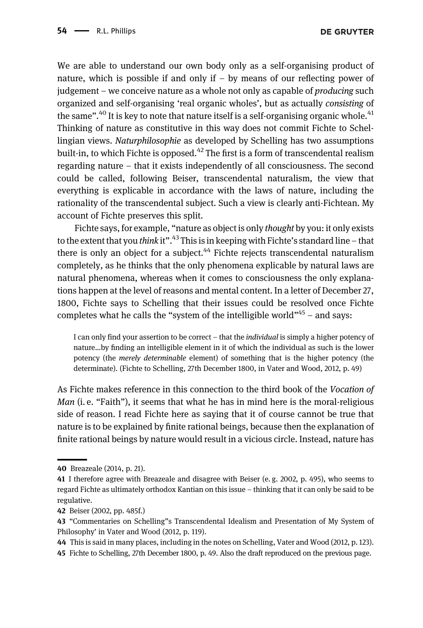We are able to understand our own body only as a self-organising product of nature, which is possible if and only if  $-$  by means of our reflecting power of judgement – we conceive nature as a whole not only as capable of producing such organized and self-organising 'real organic wholes', but as actually consisting of the same".<sup>40</sup> It is key to note that nature itself is a self-organising organic whole.<sup>41</sup> Thinking of nature as constitutive in this way does not commit Fichte to Schellingian views. Naturphilosophie as developed by Schelling has two assumptions built-in, to which Fichte is opposed.<sup>42</sup> The first is a form of transcendental realism regarding nature – that it exists independently of all consciousness. The second could be called, following Beiser, transcendental naturalism, the view that everything is explicable in accordance with the laws of nature, including the rationality of the transcendental subject. Such a view is clearly anti-Fichtean. My account of Fichte preserves this split.

Fichte says, for example, "nature as object is only thought by you: it only exists to the extent that you *think* it".<sup>43</sup> This is in keeping with Fichte's standard line – that there is only an object for a subject.<sup>44</sup> Fichte rejects transcendental naturalism completely, as he thinks that the only phenomena explicable by natural laws are natural phenomena, whereas when it comes to consciousness the only explanations happen at the level of reasons and mental content. In a letter of December 27, [1800](#page-18-11), Fichte says to Schelling that their issues could be resolved once Fichte completes what he calls the "system of the intelligible world"<sup>45</sup> – and says:

I can only find your assertion to be correct – that the individual is simply a higher potency of nature…by finding an intelligible element in it of which the individual as such is the lower potency (the merely determinable element) of something that is the higher potency (the determinate). (Fichte to Schelling, 27th December [1800,](#page-18-11) in [Vater and Wood, 2012,](#page-19-4) p. 49)

As Fichte makes reference in this connection to the third book of the Vocation of Man (i.e. "Faith"), it seems that what he has in mind here is the moral-religious side of reason. I read Fichte here as saying that it of course cannot be true that nature is to be explained by finite rational beings, because then the explanation of finite rational beings by nature would result in a vicious circle. Instead, nature has

44 This is said in many places, including in the notes on Schelling, [Vater and Wood \(2012](#page-19-4), p. 123).

45 Fichte to Schelling, 27th December [1800,](#page-18-11) p. 49. Also the draft reproduced on the previous page.

<sup>40</sup> [Breazeale \(2014](#page-18-4), p. 21).

<sup>41</sup> I therefore agree with Breazeale and disagree with Beiser (e. g. [2002](#page-18-1), p. 495), who seems to regard Fichte as ultimately orthodox Kantian on this issue – thinking that it can only be said to be regulative.

<sup>42</sup> [Beiser \(2002,](#page-18-1) pp. 485f.)

<sup>43</sup> "Commentaries on Schelling"s Transcendental Idealism and Presentation of My System of Philosophy' in [Vater and Wood \(2012,](#page-19-4) p. 119).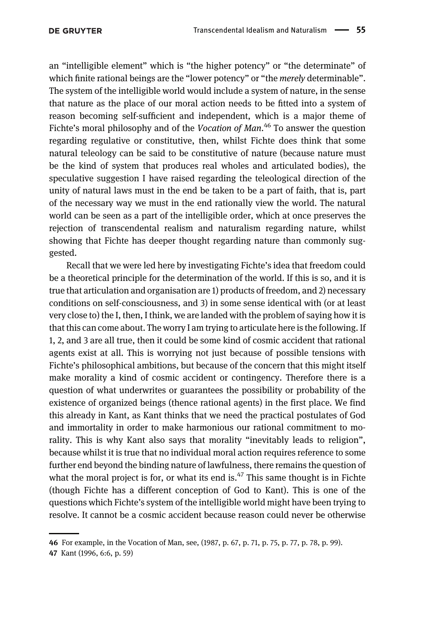an "intelligible element" which is "the higher potency" or "the determinate" of which finite rational beings are the "lower potency" or "the *merely* determinable". The system of the intelligible world would include a system of nature, in the sense that nature as the place of our moral action needs to be fitted into a system of reason becoming self-sufficient and independent, which is a major theme of Fichte's moral philosophy and of the Vocation of Man.<sup>46</sup> To answer the question regarding regulative or constitutive, then, whilst Fichte does think that some natural teleology can be said to be constitutive of nature (because nature must be the kind of system that produces real wholes and articulated bodies), the speculative suggestion I have raised regarding the teleological direction of the unity of natural laws must in the end be taken to be a part of faith, that is, part of the necessary way we must in the end rationally view the world. The natural world can be seen as a part of the intelligible order, which at once preserves the rejection of transcendental realism and naturalism regarding nature, whilst showing that Fichte has deeper thought regarding nature than commonly suggested.

Recall that we were led here by investigating Fichte's idea that freedom could be a theoretical principle for the determination of the world. If this is so, and it is true that articulation and organisation are 1) products of freedom, and 2) necessary conditions on self-consciousness, and 3) in some sense identical with (or at least very close to) the I, then, I think, we are landed with the problem of saying how it is that this can come about. The worry I am trying to articulate here is the following. If 1, 2, and 3 are all true, then it could be some kind of cosmic accident that rational agents exist at all. This is worrying not just because of possible tensions with Fichte's philosophical ambitions, but because of the concern that this might itself make morality a kind of cosmic accident or contingency. Therefore there is a question of what underwrites or guarantees the possibility or probability of the existence of organized beings (thence rational agents) in the first place. We find this already in Kant, as Kant thinks that we need the practical postulates of God and immortality in order to make harmonious our rational commitment to morality. This is why Kant also says that morality "inevitably leads to religion", because whilst it is true that no individual moral action requires reference to some further end beyond the binding nature of lawfulness, there remains the question of what the moral project is for, or what its end is. $47$  This same thought is in Fichte (though Fichte has a different conception of God to Kant). This is one of the questions which Fichte's system of the intelligible world might have been trying to resolve. It cannot be a cosmic accident because reason could never be otherwise

<sup>46</sup> For example, in the Vocation of Man, see, [\(1987,](#page-18-11) p. 67, p. 71, p. 75, p. 77, p. 78, p. 99).

<sup>47</sup> [Kant \(1996,](#page-19-12) 6:6, p. 59)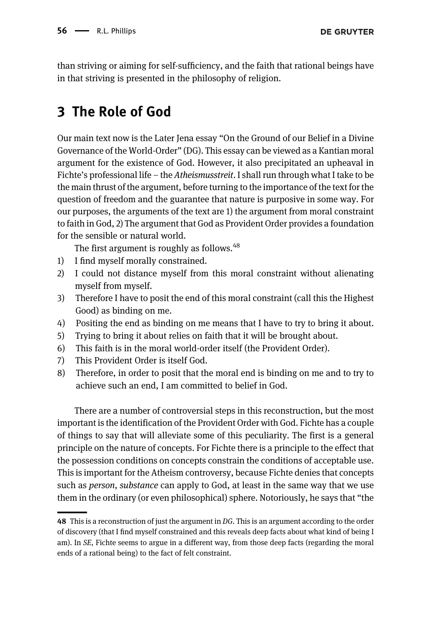than striving or aiming for self-sufficiency, and the faith that rational beings have in that striving is presented in the philosophy of religion.

# 3 The Role of God

Our main text now is the Later Jena essay "On the Ground of our Belief in a Divine Governance of the World-Order" (DG). This essay can be viewed as a Kantian moral argument for the existence of God. However, it also precipitated an upheaval in Fichte's professional life – the Atheismusstreit. I shall run through what I take to be the main thrust of the argument, before turning to the importance of the text for the question of freedom and the guarantee that nature is purposive in some way. For our purposes, the arguments of the text are 1) the argument from moral constraint to faith in God, 2) The argument that God as Provident Order provides a foundation for the sensible or natural world.

The first argument is roughly as follows.<sup>48</sup>

- 1) I find myself morally constrained.
- 2) I could not distance myself from this moral constraint without alienating myself from myself.
- 3) Therefore I have to posit the end of this moral constraint (call this the Highest Good) as binding on me.
- 4) Positing the end as binding on me means that I have to try to bring it about.
- 5) Trying to bring it about relies on faith that it will be brought about.
- 6) This faith is in the moral world-order itself (the Provident Order).
- 7) This Provident Order is itself God.
- 8) Therefore, in order to posit that the moral end is binding on me and to try to achieve such an end, I am committed to belief in God.

There are a number of controversial steps in this reconstruction, but the most important is the identification of the Provident Order with God. Fichte has a couple of things to say that will alleviate some of this peculiarity. The first is a general principle on the nature of concepts. For Fichte there is a principle to the effect that the possession conditions on concepts constrain the conditions of acceptable use. This is important for the Atheism controversy, because Fichte denies that concepts such as *person*, *substance* can apply to God, at least in the same way that we use them in the ordinary (or even philosophical) sphere. Notoriously, he says that "the

<sup>48</sup> This is a reconstruction of just the argument in DG. This is an argument according to the order of discovery (that I find myself constrained and this reveals deep facts about what kind of being I am). In SE, Fichte seems to argue in a different way, from those deep facts (regarding the moral ends of a rational being) to the fact of felt constraint.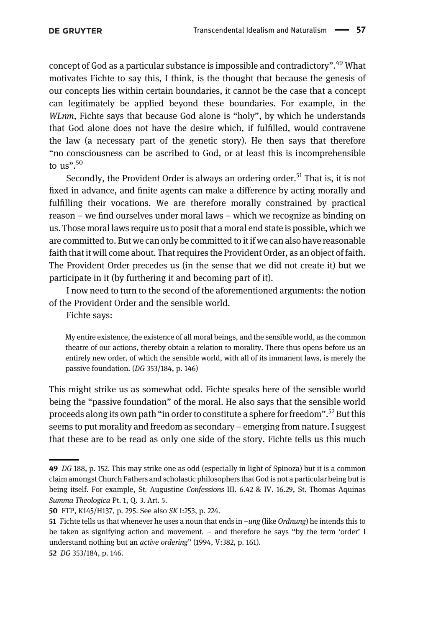concept of God as a particular substance is impossible and contradictory". <sup>49</sup> What motivates Fichte to say this, I think, is the thought that because the genesis of our concepts lies within certain boundaries, it cannot be the case that a concept can legitimately be applied beyond these boundaries. For example, in the WLnm, Fichte says that because God alone is "holy", by which he understands that God alone does not have the desire which, if fulfilled, would contravene the law (a necessary part of the genetic story). He then says that therefore "no consciousness can be ascribed to God, or at least this is incomprehensible to us".<sup>50</sup>

Secondly, the Provident Order is always an ordering order.<sup>51</sup> That is, it is not fixed in advance, and finite agents can make a difference by acting morally and fulfilling their vocations. We are therefore morally constrained by practical reason – we find ourselves under moral laws – which we recognize as binding on us. Those moral laws require us to posit that a moral end state is possible, which we are committed to. But we can only be committed to it if we can also have reasonable faith that it will come about. That requires the Provident Order, as an object of faith. The Provident Order precedes us (in the sense that we did not create it) but we participate in it (by furthering it and becoming part of it).

I now need to turn to the second of the aforementioned arguments: the notion of the Provident Order and the sensible world.

Fichte says:

My entire existence, the existence of all moral beings, and the sensible world, as the common theatre of our actions, thereby obtain a relation to morality. There thus opens before us an entirely new order, of which the sensible world, with all of its immanent laws, is merely the passive foundation. (DG 353/184, p. 146)

This might strike us as somewhat odd. Fichte speaks here of the sensible world being the "passive foundation" of the moral. He also says that the sensible world proceeds along its own path "in order to constitute a sphere for freedom". <sup>52</sup> But this seems to put morality and freedom as secondary – emerging from nature. I suggest that these are to be read as only one side of the story. Fichte tells us this much

<sup>49</sup> DG 188, p. 152. This may strike one as odd (especially in light of Spinoza) but it is a common claim amongst Church Fathers and scholastic philosophers that God is not a particular being but is being itself. For example, St. Augustine Confessions III. 6.42 & IV. 16.29, St. Thomas Aquinas Summa Theologica Pt. 1, Q. 3. Art. 5.

<sup>50</sup> FTP, K145/H137, p. 295. See also SK I:253, p. 224.

<sup>51</sup> Fichte tells us that whenever he uses a noun that ends in  $-ung$  (like *Ordnung*) he intends this to be taken as signifying action and movement. – and therefore he says "by the term 'order' I understand nothing but an active ordering" [\(1994](#page-18-12), V:382, p. 161). 52 DG 353/184, p. 146.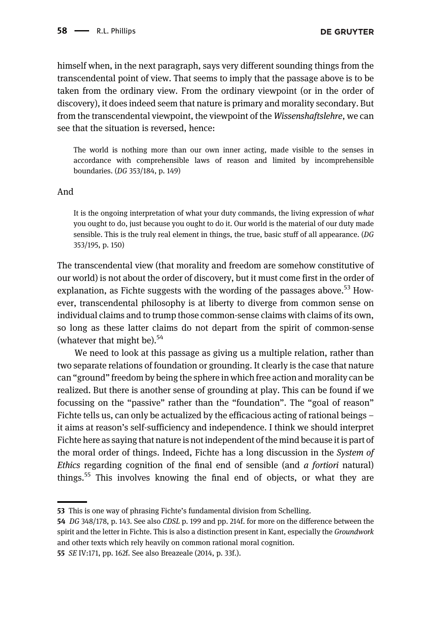himself when, in the next paragraph, says very different sounding things from the transcendental point of view. That seems to imply that the passage above is to be taken from the ordinary view. From the ordinary viewpoint (or in the order of discovery), it does indeed seem that nature is primary and morality secondary. But from the transcendental viewpoint, the viewpoint of the Wissenshaftslehre, we can see that the situation is reversed, hence:

The world is nothing more than our own inner acting, made visible to the senses in accordance with comprehensible laws of reason and limited by incomprehensible boundaries. (DG 353/184, p. 149)

#### And

It is the ongoing interpretation of what your duty commands, the living expression of what you ought to do, just because you ought to do it. Our world is the material of our duty made sensible. This is the truly real element in things, the true, basic stuff of all appearance. (DG 353/195, p. 150)

The transcendental view (that morality and freedom are somehow constitutive of our world) is not about the order of discovery, but it must come first in the order of explanation, as Fichte suggests with the wording of the passages above.<sup>53</sup> However, transcendental philosophy is at liberty to diverge from common sense on individual claims and to trump those common-sense claims with claims of its own, so long as these latter claims do not depart from the spirit of common-sense (whatever that might be). $54$ 

We need to look at this passage as giving us a multiple relation, rather than two separate relations of foundation or grounding. It clearly is the case that nature can "ground" freedom by being the sphere in which free action and morality can be realized. But there is another sense of grounding at play. This can be found if we focussing on the "passive" rather than the "foundation". The "goal of reason" Fichte tells us, can only be actualized by the efficacious acting of rational beings – it aims at reason's self-sufficiency and independence. I think we should interpret Fichte here as saying that nature is not independent of the mind because it is part of the moral order of things. Indeed, Fichte has a long discussion in the System of Ethics regarding cognition of the final end of sensible (and  $a$  fortiori natural) things.<sup>55</sup> This involves knowing the final end of objects, or what they are

55 SE IV:171, pp. 162f. See also [Breazeale \(2014](#page-18-4), p. 33f.).

<sup>53</sup> This is one way of phrasing Fichte's fundamental division from Schelling.

<sup>54</sup> DG 348/178, p. 143. See also CDSL p. 199 and pp. 214f. for more on the difference between the spirit and the letter in Fichte. This is also a distinction present in Kant, especially the Groundwork and other texts which rely heavily on common rational moral cognition.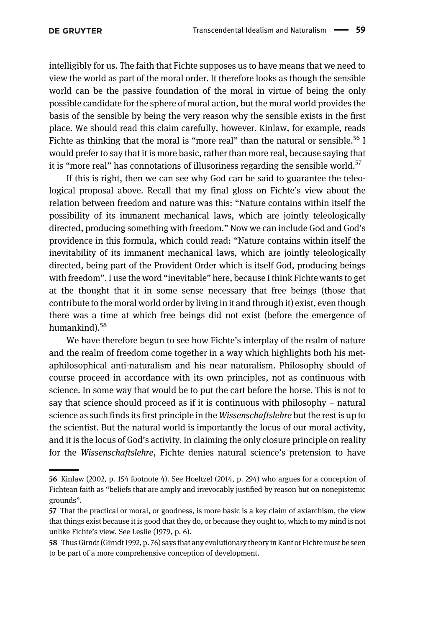intelligibly for us. The faith that Fichte supposes us to have means that we need to view the world as part of the moral order. It therefore looks as though the sensible world can be the passive foundation of the moral in virtue of being the only possible candidate for the sphere of moral action, but the moral world provides the basis of the sensible by being the very reason why the sensible exists in the first place. We should read this claim carefully, however. Kinlaw, for example, reads Fichte as thinking that the moral is "more real" than the natural or sensible.<sup>56</sup> I would prefer to say that it is more basic, rather than more real, because saying that it is "more real" has connotations of illusoriness regarding the sensible world.<sup>57</sup>

If this is right, then we can see why God can be said to guarantee the teleological proposal above. Recall that my final gloss on Fichte's view about the relation between freedom and nature was this: "Nature contains within itself the possibility of its immanent mechanical laws, which are jointly teleologically directed, producing something with freedom." Now we can include God and God's providence in this formula, which could read: "Nature contains within itself the inevitability of its immanent mechanical laws, which are jointly teleologically directed, being part of the Provident Order which is itself God, producing beings with freedom". I use the word "inevitable" here, because I think Fichte wants to get at the thought that it in some sense necessary that free beings (those that contribute to the moral world order by living in it and through it) exist, even though there was a time at which free beings did not exist (before the emergence of humankind).<sup>58</sup>

We have therefore begun to see how Fichte's interplay of the realm of nature and the realm of freedom come together in a way which highlights both his metaphilosophical anti-naturalism and his near naturalism. Philosophy should of course proceed in accordance with its own principles, not as continuous with science. In some way that would be to put the cart before the horse. This is not to say that science should proceed as if it is continuous with philosophy – natural science as such finds its first principle in the *Wissenschaftslehre* but the rest is up to the scientist. But the natural world is importantly the locus of our moral activity, and it is the locus of God's activity. In claiming the only closure principle on reality for the Wissenschaftslehre, Fichte denies natural science's pretension to have

<sup>56</sup> [Kinlaw \(2002](#page-19-13), p. 154 footnote 4). See [Hoeltzel \(2014](#page-19-14), p. 294) who argues for a conception of Fichtean faith as "beliefs that are amply and irrevocably justified by reason but on nonepistemic grounds".

<sup>57</sup> That the practical or moral, or goodness, is more basic is a key claim of axiarchism, the view that things exist because it is good that they do, or because they ought to, which to my mind is not unlike Fichte's view. See [Leslie \(1979](#page-19-15), p. 6).

<sup>58</sup> Thus Girndt [\(Girndt 1992,](#page-19-5) p. 76) says that any evolutionary theory in Kant or Fichte must be seen to be part of a more comprehensive conception of development.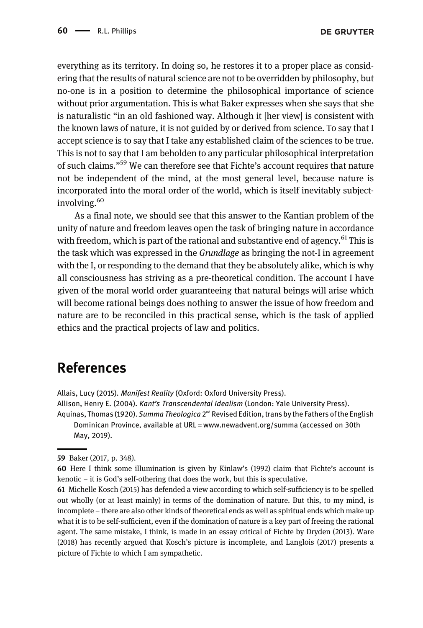everything as its territory. In doing so, he restores it to a proper place as considering that the results of natural science are not to be overridden by philosophy, but no-one is in a position to determine the philosophical importance of science without prior argumentation. This is what Baker expresses when she says that she is naturalistic "in an old fashioned way. Although it [her view] is consistent with the known laws of nature, it is not guided by or derived from science. To say that I accept science is to say that I take any established claim of the sciences to be true. This is not to say that I am beholden to any particular philosophical interpretation of such claims."<sup>59</sup> We can therefore see that Fichte's account requires that nature not be independent of the mind, at the most general level, because nature is incorporated into the moral order of the world, which is itself inevitably subjectinvolving.<sup>60</sup>

As a final note, we should see that this answer to the Kantian problem of the unity of nature and freedom leaves open the task of bringing nature in accordance with freedom, which is part of the rational and substantive end of agency.<sup>61</sup> This is the task which was expressed in the Grundlage as bringing the not-I in agreement with the I, or responding to the demand that they be absolutely alike, which is why all consciousness has striving as a pre-theoretical condition. The account I have given of the moral world order guaranteeing that natural beings will arise which will become rational beings does nothing to answer the issue of how freedom and nature are to be reconciled in this practical sense, which is the task of applied ethics and the practical projects of law and politics.

#### References

<span id="page-17-1"></span>Allais, Lucy (2015). Manifest Reality (Oxford: Oxford University Press).

<span id="page-17-0"></span>Allison, Henry E. (2004). Kant's Transcendental Idealism (London: Yale University Press). Aquinas, Thomas (1920). Summa Theologica  $2^{nd}$  Revised Edition, trans by the Fathers of the English

Dominican Province, available at URL =[www.newadvent.org/summa](http://www.newadvent.org/summa) (accessed on 30th May, 2019).

<sup>59</sup> [Baker \(2017](#page-18-0), p. 348).

<sup>60</sup> Here I think some illumination is given by Kinlaw'[s \(1992\)](#page-19-16) claim that Fichte's account is kenotic – it is God's self-othering that does the work, but this is speculative.

<sup>61</sup> Michelle [Kosch \(2015\)](#page-19-17) has defended a view according to which self-sufficiency is to be spelled out wholly (or at least mainly) in terms of the domination of nature. But this, to my mind, is incomplete – there are also other kinds of theoretical ends as well as spiritual ends which make up what it is to be self-sufficient, even if the domination of nature is a key part of freeing the rational agent. The same mistake, I think, is made in an essay critical of Fichte by [Dryden \(2013\).](#page-18-13) [Ware](#page-19-18) [\(2018\)](#page-19-18) has recently argued that Kosch's picture is incomplete, and [Langlois \(2017\)](#page-19-19) presents a picture of Fichte to which I am sympathetic.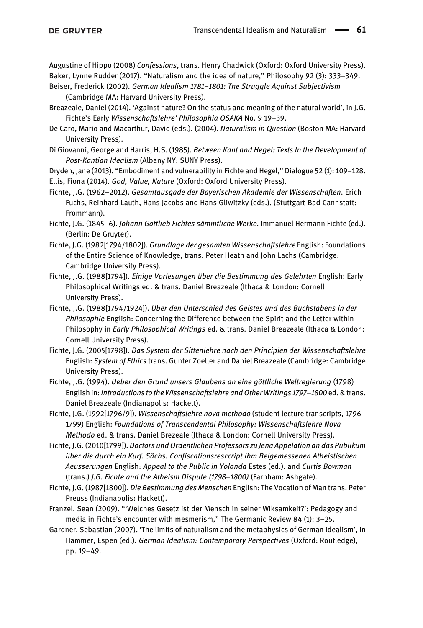<span id="page-18-0"></span>Augustine of Hippo (2008) Confessions, trans. Henry Chadwick (Oxford: Oxford University Press). Baker, Lynne Rudder (2017). "Naturalism and the idea of nature," Philosophy 92 (3): 333–349.

<span id="page-18-1"></span>Beiser, Frederick (2002). German Idealism 1781–1801: The Struggle Against Subjectivism (Cambridge MA: Harvard University Press).

- <span id="page-18-4"></span>Breazeale, Daniel (2014). 'Against nature? On the status and meaning of the natural world', in J.G. Fichte's Early Wissenschaftslehre' Philosophia OSAKA No. 9 19–39.
- <span id="page-18-7"></span>De Caro, Mario and Macarthur, David (eds.). (2004). Naturalism in Question (Boston MA: Harvard University Press).
- <span id="page-18-2"></span>Di Giovanni, George and Harris, H.S. (1985). Between Kant and Hegel: Texts In the Development of Post-Kantian Idealism (Albany NY: SUNY Press).

<span id="page-18-13"></span><span id="page-18-5"></span>Dryden, Jane (2013). "Embodiment and vulnerability in Fichte and Hegel," Dialogue 52 (1): 109–128. Ellis, Fiona (2014). God, Value, Nature (Oxford: Oxford University Press).

- Fichte, J.G. (1962–2012). Gesamtausgade der Bayerischen Akademie der Wissenschaften. Erich Fuchs, Reinhard Lauth, Hans Jacobs and Hans Gliwitzky (eds.). (Stuttgart-Bad Cannstatt: Frommann).
- Fichte, J.G. (1845–6). Johann Gottlieb Fichtes sämmtliche Werke. Immanuel Hermann Fichte (ed.). (Berlin: De Gruyter).
- <span id="page-18-10"></span>Fichte, J.G. (1982[1794/1802]). Grundlage der gesamten Wissenschaftslehre English: Foundations of the Entire Science of Knowledge, trans. Peter Heath and John Lachs (Cambridge: Cambridge University Press).
- <span id="page-18-9"></span>Fichte, J.G. (1988[1794]). Einige Vorlesungen über die Bestimmung des Gelehrten English: Early Philosophical Writings ed. & trans. Daniel Breazeale (Ithaca & London: Cornell University Press).
- Fichte, J.G. (1988[1794/1924]). Uber den Unterschied des Geistes und des Buchstabens in der Philosophie English: Concerning the Difference between the Spirit and the Letter within Philosophy in Early Philosophical Writings ed. & trans. Daniel Breazeale (Ithaca & London: Cornell University Press).
- Fichte, J.G. (2005[1798]). Das System der Sittenlehre nach den Principien der Wissenschaftslehre English: System of Ethics trans. Gunter Zoeller and Daniel Breazeale (Cambridge: Cambridge University Press).
- <span id="page-18-12"></span>Fichte, J.G. (1994). Ueber den Grund unsers Glaubens an eine göttliche Weltregierung (1798) English in: Introductions to the Wissenschaftslehre and Other Writings 1797–1800 ed. & trans. Daniel Breazeale (Indianapolis: Hackett).
- <span id="page-18-3"></span>Fichte, J.G. (1992[1796/9]). Wissenschaftslehre nova methodo (student lecture transcripts, 1796– 1799) English: Foundations of Transcendental Philosophy: Wissenschaftslehre Nova Methodo ed. & trans. Daniel Brezeale (Ithaca & London: Cornell University Press).
- Fichte, J.G. (2010[1799]). Doctors und Ordentlichen Professors zu Jena Appelation an das Publikum über die durch ein Kurf. Sächs. Confiscationsresccript ihm Beigemessenen Atheistischen Aeusserungen English: Appeal to the Public in Yolanda Estes (ed.). and Curtis Bowman (trans.) J.G. Fichte and the Atheism Dispute (1798–1800) (Farnham: Ashgate).
- <span id="page-18-11"></span>Fichte, J.G. (1987[1800]). Die Bestimmung des Menschen English: The Vocation of Man trans. Peter Preuss (Indianapolis: Hackett).
- <span id="page-18-8"></span>Franzel, Sean (2009). "'Welches Gesetz ist der Mensch in seiner Wiksamkeit?': Pedagogy and media in Fichte's encounter with mesmerism," The Germanic Review 84 (1): 3–25.
- <span id="page-18-6"></span>Gardner, Sebastian (2007). 'The limits of naturalism and the metaphysics of German Idealism', in Hammer, Espen (ed.). German Idealism: Contemporary Perspectives (Oxford: Routledge), pp. 19–49.